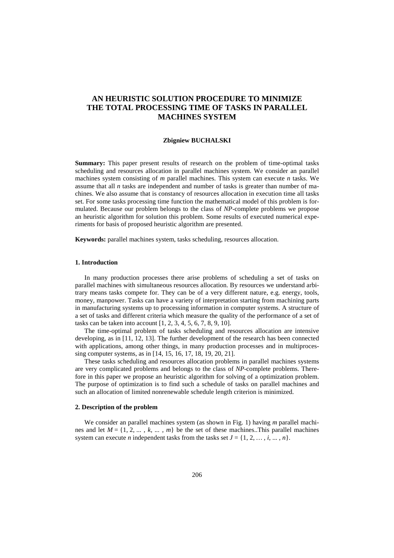# **AN HEURISTIC SOLUTION PROCEDURE TO MINIMIZE THE TOTAL PROCESSING TIME OF TASKS IN PARALLEL MACHINES SYSTEM**

#### **Zbigniew BUCHALSKI**

**Summary:** This paper present results of research on the problem of time-optimal tasks scheduling and resources allocation in parallel machines system. We consider an parallel machines system consisting of *m* parallel machines. This system can execute *n* tasks. We assume that all *n* tasks are independent and number of tasks is greater than number of machines. We also assume that is constancy of resources allocation in execution time all tasks set. For some tasks processing time function the mathematical model of this problem is formulated. Because our problem belongs to the class of *NP*-complete problems we propose an heuristic algorithm for solution this problem. Some results of executed numerical experiments for basis of proposed heuristic algorithm are presented.

**Keywords:** parallel machines system, tasks scheduling, resources allocation.

#### **1. Introduction**

In many production processes there arise problems of scheduling a set of tasks on parallel machines with simultaneous resources allocation. By resources we understand arbitrary means tasks compete for. They can be of a very different nature, e.g. energy, tools, money, manpower. Tasks can have a variety of interpretation starting from machining parts in manufacturing systems up to processing information in computer systems. A structure of a set of tasks and different criteria which measure the quality of the performance of a set of tasks can be taken into account [1, 2, 3, 4, 5, 6, 7, 8, 9, 10].

The time-optimal problem of tasks scheduling and resources allocation are intensive developing, as in [11, 12, 13]. The further development of the research has been connected with applications, among other things, in many production processes and in multiprocessing computer systems, as in [14, 15, 16, 17, 18, 19, 20, 21].

These tasks scheduling and resources allocation problems in parallel machines systems are very complicated problems and belongs to the class of *NP*-complete problems. Therefore in this paper we propose an heuristic algorithm for solving of a optimization problem. The purpose of optimization is to find such a schedule of tasks on parallel machines and such an allocation of limited nonrenewable schedule length criterion is minimized.

#### **2. Description of the problem**

We consider an parallel machines system (as shown in Fig. 1) having *m* parallel machines and let  $M = \{1, 2, ..., k, ..., m\}$  be the set of these machines. This parallel machines system can execute *n* independent tasks from the tasks set  $J = \{1, 2, ..., i, ..., n\}$ .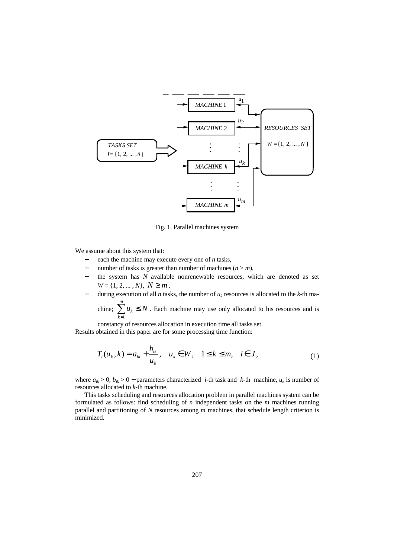

Fig. 1. Parallel machines system

We assume about this system that:

- each the machine may execute every one of *n* tasks,
- number of tasks is greater than number of machines  $(n > m)$ ,
- the system has *N* available nonrenewable resources, which are denoted as set  $W = \{1, 2, ..., N\}, N \geq m$ ,
- − during execution of all *n* tasks, the number of *u<sup>k</sup>* resources is allocated to the *k*-th ma-

chine;  $\sum u_k \leq N$  $\sum_{k=1}^{m} u_k \leq N$ . Each machine may use only allocated to his resources and is *k* =1

constancy of resources allocation in execution time all tasks set. Results obtained in this paper are for some processing time function:

$$
T_i(u_k, k) = a_{ik} + \frac{b_{ik}}{u_k}, \quad u_k \in W, \quad 1 \le k \le m, \quad i \in J,
$$
 (1)

where  $a_{ik} > 0$ ,  $b_{ik} > 0$  – parameters characterized *i*-th task and *k*-th machine,  $u_k$  is number of resources allocated to *k*-th machine.

This tasks scheduling and resources allocation problem in parallel machines system can be formulated as follows: find scheduling of *n* independent tasks on the *m* machines running parallel and partitioning of *N* resources among *m* machines, that schedule length criterion is minimized.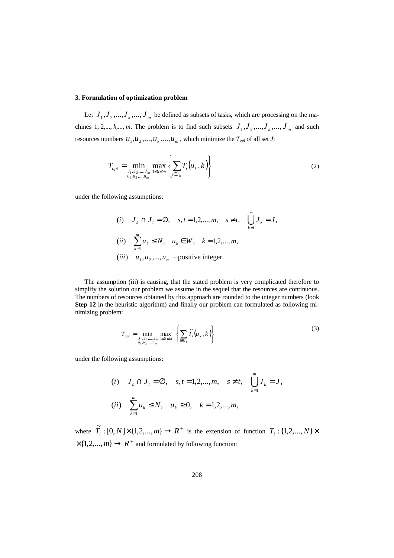# **3. Formulation of optimization problem**

Let  $J_1, J_2, ..., J_k, ..., J_m$  be defined as subsets of tasks, which are processing on the machines 1, 2,...,  $k$ ,...,  $m$ . The problem is to find such subsets  $J_1, J_2, ..., J_k, ..., J_m$  and such resources numbers  $u_1, u_2, ..., u_k, ..., u_m$ , which minimize the  $T_{opt}$  of all set *J*:

$$
T_{opt} = \min_{\substack{J_1, J_2, \dots, J_m \\ u_1, u_2, \dots, u_m}} \max_{1 \le k \le m} \left\{ \sum_{i \in J_k} T_i(u_k, k) \right\} \tag{2}
$$

under the following assumptions:

(i) 
$$
J_s \cap J_t = \emptyset
$$
,  $s, t = 1, 2, ..., m$ ,  $s \neq t$ ,  $\bigcup_{k=1}^{m} J_k = J$ ,  
\n(ii)  $\sum_{k=1}^{m} u_k \leq N$ ,  $u_k \in W$ ,  $k = 1, 2, ..., m$ ,  
\n(iii)  $u_1, u_2, ..., u_m$  – positive integer.

The assumption (iii) is causing, that the stated problem is very complicated therefore to simplify the solution our problem we assume in the sequel that the resources are continuous. The numbers of resources obtained by this approach are rounded to the integer numbers (look **Step 12** in the heuristic algorithm) and finally our problem can formulated as following minimizing problem:

$$
T_{opt} = \min_{\substack{J_1, J_2, \dots, J_m \\ u_1, u_2, \dots, u_m}} \max_{1 \le k \le m} \left\{ \sum_{i \in J_k} \widetilde{T}_i \left( u_k, k \right) \right\} \tag{3}
$$

under the following assumptions:

(i) 
$$
J_s \cap J_t = \emptyset
$$
,  $s, t = 1, 2, ..., m$ ,  $s \neq t$ ,  $\bigcup_{k=1}^{m} J_k = J$ ,  
\n(ii)  $\sum_{k=1}^{m} u_k \leq N$ ,  $u_k \geq 0$ ,  $k = 1, 2, ..., m$ ,

where  $\widetilde{T}_i$  :  $[0, N] \times \{1, 2, ..., m\} \to R^+$  is the extension of function  $T_i$  :  $\{1, 2, ..., N\} \times$  $\times$ {1,2,...,*m*}  $\rightarrow$  *R*<sup>+</sup> and formulated by following function: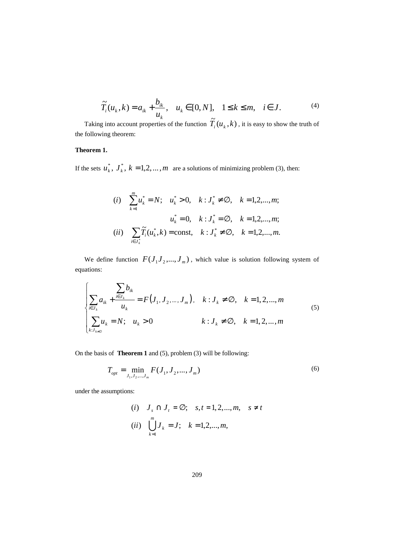$$
\widetilde{T}_i(u_k, k) = a_{ik} + \frac{b_{ik}}{u_k}, \quad u_k \in [0, N], \quad 1 \le k \le m, \quad i \in J.
$$
 (4)

Taking into account properties of the function  $\tilde{T}_i(u_k, k)$ , it is easy to show the truth of the following theorem:

# **Theorem 1.**

If the sets  $u_k^*$ ,  $J_k^*$ ,  $k = 1, 2, ..., m$  are a solutions of minimizing problem (3), then:

(i) 
$$
\sum_{k=1}^{m} u_k^* = N
$$
;  $u_k^* > 0$ ,  $k : J_k^* \neq \emptyset$ ,  $k = 1, 2, ..., m$ ;  
\n $u_k^* = 0$ ,  $k : J_k^* = \emptyset$ ,  $k = 1, 2, ..., m$ ;  
\n(ii)  $\sum_{i \in J_k^*} \widetilde{T}_i(u_k^*, k) = \text{const}$ ,  $k : J_k^* \neq \emptyset$ ,  $k = 1, 2, ..., m$ .

We define function  $F(J_1, J_2, ..., J_m)$ , which value is solution following system of equations:

$$
\begin{cases}\n\sum_{i \in J_k} b_{ik} \\
\sum_{i \in J_k} a_{ik} + \frac{i \in J_k}{u_k} = F(J_1, J_2, ..., J_m), & k : J_k \neq \emptyset, \quad k = 1, 2, ..., m \\
\sum_{k : J_{k \neq \emptyset}} u_k = N; & u_k > 0\n\end{cases}
$$
\n(5)

On the basis of **Theorem 1** and (5), problem (3) will be following:

$$
T_{opt} = \min_{J_1, J_2, \dots, J_m} F(J_1, J_2, \dots, J_m)
$$
 (6)

under the assumptions:

(i) 
$$
J_s \cap J_t = \emptyset
$$
;  $s, t = 1, 2, ..., m, s \neq t$   
\n(ii)  $\bigcup_{k=1}^{m} J_k = J$ ;  $k = 1, 2, ..., m$ ,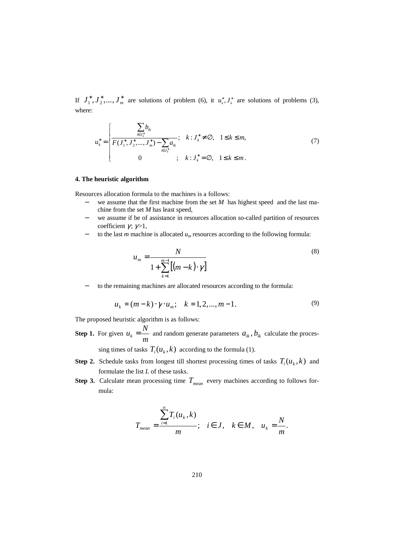If  $J_1^*, J_2^*, \ldots, J_m^*$  are solutions of problem (6), it  $u_k^*, J_k^*$  are solutions of problems (3), where:

$$
u_k^* = \begin{cases} \sum_{i \in J_k^*} b_{ik} & \text{if } i \neq \emptyset, \quad 1 \le k \le m, \\ \overline{F(J_1^*, J_2^*, \dots, J_m^*) - \sum_{i \in J_k^*} a_{ik}} & \text{if } i \neq \emptyset, \quad 1 \le k \le m, \\ 0 & \text{if } k : J_k^* = \emptyset, \quad 1 \le k \le m. \end{cases} \tag{7}
$$

## **4. The heuristic algorithm**

Resources allocation formula to the machines is a follows:

- − we assume that the first machine from the set *M* has highest speed and the last machine from the set *M* has least speed,
- − we assume if be of assistance in resources allocation so-called partition of resources coefficient  $\gamma$ ;  $\gamma$  > 1,
- − to the last *m* machine is allocated *um* resources according to the following formula:

$$
u_m = \frac{N}{1 + \sum_{k=1}^{m-1} [(m-k) \cdot \gamma]}
$$
 (8)

to the remaining machines are allocated resources according to the formula:

$$
u_k = (m-k) \cdot \gamma \cdot u_m; \quad k = 1, 2, ..., m-1.
$$
 (9)

The proposed heuristic algorithm is as follows:

**Step 1.** For given  $u_k = \frac{m}{m}$  $u_k = \frac{N}{m}$  and random generate parameters  $a_{ik}$ ,  $b_{ik}$  calculate the processing times of tasks  $T_i(u_k, k)$  according to the formula (1).

**Step 2.** Schedule tasks from longest till shortest processing times of tasks  $T_i(u_k, k)$  and formulate the list *L* of these tasks.

**Step 3.** Calculate mean processing time  $T_{mean}$  every machines according to follows formula:

$$
T_{mean} = \frac{\sum_{i=1}^{n} T_i(u_k, k)}{m}; \quad i \in J, \quad k \in M, \quad u_k = \frac{N}{m}.
$$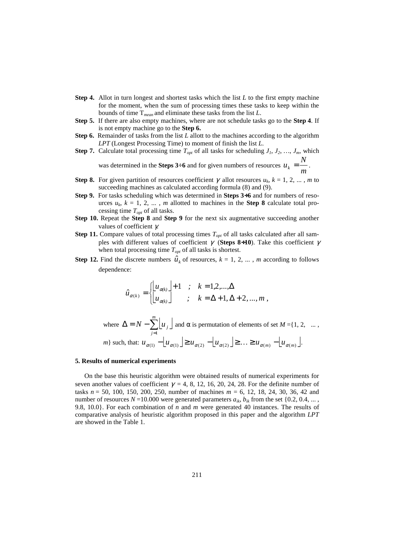- **Step 4.** Allot in turn longest and shortest tasks which the list *L* to the first empty machine for the moment, when the sum of processing times these tasks to keep within the bounds of time T*mean* and eliminate these tasks from the list *L*.
- **Step 5.** If there are also empty machines, where are not schedule tasks go to the **Step 4**. If is not empty machine go to the **Step 6.**
- **Step 6.** Remainder of tasks from the list *L* allott to the machines according to the algorithm *LPT* (Longest Processing Time) to moment of finish the list *L*.
- **Step 7.** Calculate total processing time  $T_{opt}$  of all tasks for scheduling  $J_1, J_2, ..., J_m$ , which was determined in the **Steps 3**:6 and for given numbers of resources  $u_k = \frac{m}{m}$  $u_k = \frac{N}{m}$ .
- **Step 8.** For given partition of resources coefficient  $\gamma$  allot resources  $u_k$ ,  $k = 1, 2, ...$ , *m* to succeeding machines as calculated according formula (8) and (9).
- **Step 9.** For tasks scheduling which was determined in **Steps 3**÷**6** and for numbers of resources  $u_k$ ,  $k = 1, 2, \ldots, m$  allotted to machines in the **Step 8** calculate total processing time *Topt* of all tasks.
- **Step 10.** Repeat the **Step 8** and **Step 9** for the next six augmentative succeeding another values of coefficient γ.
- **Step 11.** Compare values of total processing times  $T_{opt}$  of all tasks calculated after all samples with different values of coefficient  $\gamma$  (**Steps 8+10**). Take this coefficient  $\gamma$ when total processing time  $T_{opt}$  of all tasks is shortest.
- **Step 12.** Find the discrete numbers  $\hat{u}_k$  of resources,  $k = 1, 2, ...$ , *m* according to follows dependence:

$$
\hat{u}_{\alpha(k)} = \begin{cases} \begin{bmatrix} u_{\alpha(k)} \end{bmatrix} + 1 & ; & k = 1, 2, ..., \Delta \\ u_{\alpha(k)} \end{bmatrix} & ; & k = \Delta + 1, \Delta + 2, ..., m \end{cases}
$$

where  $\Delta = N - \sum_{i=1}^{m} u_{i} \int u_{i}$ = *j* 1 *m*  $N - \sum_{i} u_{i} \int_{i}$  and  $\alpha$  is permutation of elements of set  $M = \{1, 2, ..., n\}$  $m$ } such, that:  $u_{\alpha(1)} - \lfloor u_{\alpha(1)} \rfloor \geq u_{\alpha(2)} - \lfloor u_{\alpha(2)} \rfloor \geq ... \geq u_{\alpha(m)} - \lfloor u_{\alpha(m)} \rfloor$ .

### **5. Results of numerical experiments**

On the base this heuristic algorithm were obtained results of numerical experiments for seven another values of coefficient  $\gamma = 4, 8, 12, 16, 20, 24, 28$ . For the definite number of tasks *n* = 50, 100, 150, 200, 250, number of machines *m* = 6, 12, 18, 24, 30, 36, 42 and number of resources  $N = 10.000$  were generated parameters  $a_{ik}$ ,  $b_{ik}$  from the set {0.2, 0.4, ... 9.8, 10.0}. For each combination of *n* and *m* were generated 40 instances. The results of comparative analysis of heuristic algorithm proposed in this paper and the algorithm *LPT* are showed in the Table 1.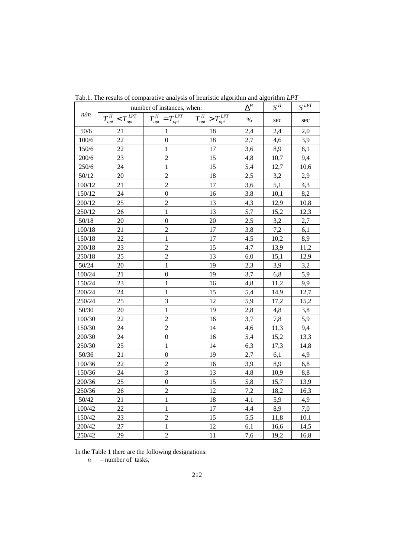| n/m      | number of instances, when:  |                                                                 |                             | $\Delta^{\!H}$ | $S^{\mathcal{H}}$ | $S^{LPT}$ |
|----------|-----------------------------|-----------------------------------------------------------------|-----------------------------|----------------|-------------------|-----------|
|          | $T_{opt}^H < T_{opt}^{LPT}$ | $T^{\mathit{H}}_{\mathit{opt}}=T^{\mathit{LPT}}_{\mathit{opt}}$ | $T_{opt}^H > T_{opt}^{LPT}$ | $\%$           | sec               | sec       |
| $50/6$   | 21                          | $\mathbf{1}$                                                    | 18                          | 2,4            | 2,4               | 2,0       |
| 100/6    | 22                          | $\boldsymbol{0}$                                                | 18                          | 2,7            | 4,6               | 3,9       |
| 150/6    | 22                          | $\mathbf{1}$                                                    | 17                          | 3,6            | 8,9               | 8,1       |
| 200/6    | 23                          | $\overline{c}$                                                  | 15                          | 4,8            | 10,7              | 9,4       |
| 250/6    | 24                          | $\mathbf{1}$                                                    | 15                          | 5,4            | 12,7              | 10,6      |
| 50/12    | 20                          | $\overline{c}$                                                  | 18                          | 2,5            | 3,2               | 2,9       |
| 100/12   | 21                          | $\overline{c}$                                                  | 17                          | 3,6            | 5,1               | 4,3       |
| 150/12   | 24                          | $\boldsymbol{0}$                                                | 16                          | 3,8            | 10,1              | 8,2       |
| 200/12   | 25                          | $\overline{c}$                                                  | 13                          | 4,3            | 12,9              | 10,8      |
| 250/12   | 26                          | $\mathbf{1}$                                                    | 13                          | 5,7            | 15,2              | 12,3      |
| 50/18    | 20                          | $\boldsymbol{0}$                                                | 20                          | 2,5            | 3,2               | 2,7       |
| $100/18$ | 21                          | $\overline{c}$                                                  | 17                          | 3,8            | 7,2               | 6,1       |
| 150/18   | 22                          | $\mathbf{1}$                                                    | 17                          | 4,5            | 10,2              | 8,9       |
| 200/18   | 23                          | $\overline{c}$                                                  | 15                          | 4,7            | 13,9              | 11,2      |
| 250/18   | 25                          | $\overline{c}$                                                  | 13                          | 6,0            | 15,1              | 12,9      |
| 50/24    | 20                          | $\mathbf{1}$                                                    | 19                          | 2,3            | 3,9               | 3,2       |
| 100/24   | 21                          | $\boldsymbol{0}$                                                | 19                          | 3,7            | 6,8               | 5,9       |
| 150/24   | 23                          | $\mathbf{1}$                                                    | 16                          | 4,8            | 11,2              | 9,9       |
| 200/24   | 24                          | $\mathbf{1}$                                                    | 15                          | 5,4            | 14,9              | 12,7      |
| 250/24   | 25                          | 3                                                               | 12                          | 5,9            | 17,2              | 15,2      |
| 50/30    | 20                          | $\mathbf{1}$                                                    | 19                          | 2,8            | 4,8               | 3,8       |
| 100/30   | 22                          | $\overline{c}$                                                  | 16                          | 3,7            | 7,8               | 5,9       |
| 150/30   | 24                          | $\overline{c}$                                                  | 14                          | 4,6            | 11,3              | 9,4       |
| 200/30   | 24                          | $\boldsymbol{0}$                                                | 16                          | 5,4            | 15,2              | 13,3      |
| 250/30   | 25                          | $\mathbf{1}$                                                    | 14                          | 6,3            | 17,3              | 14,8      |
| 50/36    | 21                          | $\boldsymbol{0}$                                                | 19                          | 2,7            | 6,1               | 4,9       |
| 100/36   | 22                          | $\overline{c}$                                                  | 16                          | 3,9            | 8,9               | 6,8       |
| 150/36   | 24                          | $\overline{3}$                                                  | 13                          | 4,8            | 10,9              | 8,8       |
| 200/36   | 25                          | $\mathbf{0}$                                                    | 15                          | 5,8            | 15,7              | 13,9      |
| 250/36   | 26                          | $\overline{2}$                                                  | 12                          | 7,2            | 18,2              | 16,3      |
| 50/42    | 21                          | $\mathbf{1}$                                                    | 18                          | 4,1            | 5,9               | 4,9       |
| 100/42   | 22                          | $\mathbf{1}$                                                    | 17                          | 4,4            | 8,9               | 7,0       |
| 150/42   | 23                          | $\overline{c}$                                                  | 15                          | 5,5            | 11,8              | 10,1      |
| 200/42   | 27                          | $\mathbf{1}$                                                    | 12                          | 6,1            | 16,6              | 14,5      |
| 250/42   | 29                          | $\overline{2}$                                                  | 11                          | 7,6            | 19,2              | 16,8      |

Tab.1. The results of comparative analysis of heuristic algorithm and algorithm *LPT* 

In the Table 1 there are the following designations:

*n* – number of tasks,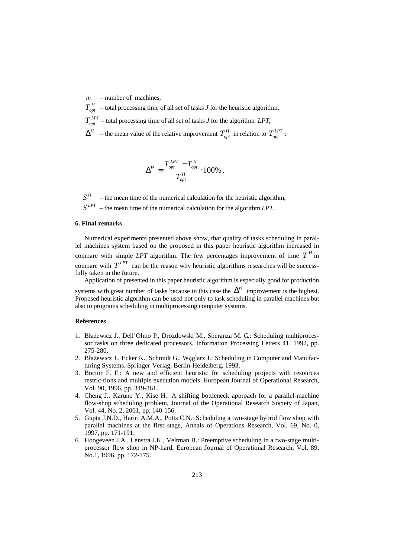*m* – number of machines,

 $T_{\textit{\tiny{out}}}^H$ *T* – total processing time of all set of tasks *J* for the heuristic algorithm,  $T_{opt}^{LPT}$  – total processing time of all set of tasks *J* for the algorithm *LPT*,  $\Delta^H$  – the mean value of the relative improvement  $T_{opt}^H$  in relation to  $T_{opt}^{LPT}$ :

$$
\Delta^H = \frac{T_{opt}^{LPT} - T_{opt}^H}{T_{opt}^H} \cdot 100\% \; ,
$$

 $S^H$ *S* – the mean time of the numerical calculation for the heuristic algorithm,  $S^{LPT}$  – the mean time of the numerical calculation for the algorithm *LPT*.

# **6. Final remarks**

Numerical experiments presented above show, that quality of tasks scheduling in parallel machines system based on the proposed in this paper heuristic algorithm increased in compare with simple *LPT* algorithm. The few percentages improvement of time  $T<sup>H</sup>$  in compare with  $T^{LPT}$  can be the reason why heuristic algorithms researches will be successfully taken in the future.

Application of presented in this paper heuristic algorithm is especially good for production systems with great number of tasks because in this case the  $\Delta^H$  improvement is the highest. Proposed heuristic algorithm can be used not only to task scheduling in parallel machines but also to programs scheduling in multiprocessing computer systems.

### **References**

- 1.Błażewicz J., Dell'Olmo P., Drozdowski M., Speranza M. G.: Scheduling multiprocessor tasks on three dedicated processors. Information Processing Letters 41, 1992, pp. 275-280.
- 2. Błażewicz J., Ecker K., Schmidt G., Węglarz J.: Scheduling in Computer and Manufacturing Systems. Springer-Verlag, Berlin-Heidelberg, 1993.
- 3. Boctor F. F.: A new and efficient heuristic for scheduling projects with resources restric-tions and multiple execution models. European Journal of Operational Research, Vol. 90, 1996, pp. 349-361.
- 4. Cheng J., Karuno Y., Kise H.: A shifting bottleneck approach for a parallel-machine flow-shop scheduling problem, Journal of the Operational Research Society of Japan, Vol. 44, No. 2, 2001, pp. 140-156.
- 5. Gupta J.N.D., Hariri A.M.A., Potts C.N.: Scheduling a two-stage hybrid flow shop with parallel machines at the first stage, Annals of Operations Research, Vol. 69, No. 0, 1997, pp. 171-191.
- 6. Hoogeveen J.A., Lenstra J.K., Veltman B.: Preemptive scheduling in a two-stage multiprocessor flow shop in NP-hard, European Journal of Operational Research, Vol. 89, No.1, 1996, pp. 172-175.